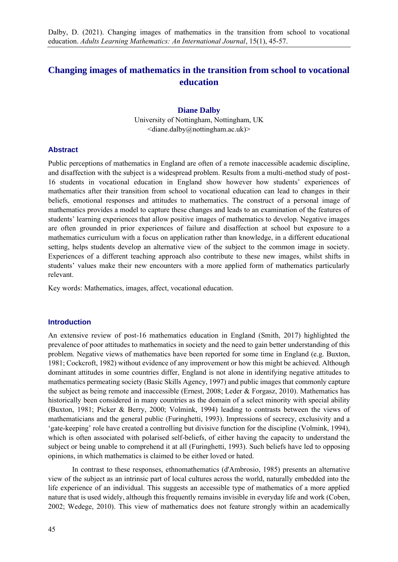# **Changing images of mathematics in the transition from school to vocational education**

### **Diane Dalby**

University of Nottingham, Nottingham, UK  $\langle$ diane.dalby@nottingham.ac.uk)>

#### **Abstract**

Public perceptions of mathematics in England are often of a remote inaccessible academic discipline, and disaffection with the subject is a widespread problem. Results from a multi-method study of post-16 students in vocational education in England show however how students' experiences of mathematics after their transition from school to vocational education can lead to changes in their beliefs, emotional responses and attitudes to mathematics. The construct of a personal image of mathematics provides a model to capture these changes and leads to an examination of the features of students' learning experiences that allow positive images of mathematics to develop. Negative images are often grounded in prior experiences of failure and disaffection at school but exposure to a mathematics curriculum with a focus on application rather than knowledge, in a different educational setting, helps students develop an alternative view of the subject to the common image in society. Experiences of a different teaching approach also contribute to these new images, whilst shifts in students' values make their new encounters with a more applied form of mathematics particularly relevant.

Key words: Mathematics, images, affect, vocational education.

#### **Introduction**

An extensive review of post-16 mathematics education in England (Smith, 2017) highlighted the prevalence of poor attitudes to mathematics in society and the need to gain better understanding of this problem. Negative views of mathematics have been reported for some time in England (e.g. Buxton, 1981; Cockcroft, 1982) without evidence of any improvement or how this might be achieved. Although dominant attitudes in some countries differ, England is not alone in identifying negative attitudes to mathematics permeating society (Basic Skills Agency, 1997) and public images that commonly capture the subject as being remote and inaccessible (Ernest, 2008; Leder & Forgasz, 2010). Mathematics has historically been considered in many countries as the domain of a select minority with special ability (Buxton, 1981; Picker & Berry, 2000; Volmink, 1994) leading to contrasts between the views of mathematicians and the general public (Furinghetti, 1993). Impressions of secrecy, exclusivity and a 'gate-keeping' role have created a controlling but divisive function for the discipline (Volmink, 1994), which is often associated with polarised self-beliefs, of either having the capacity to understand the subject or being unable to comprehend it at all (Furinghetti, 1993). Such beliefs have led to opposing opinions, in which mathematics is claimed to be either loved or hated.

In contrast to these responses, ethnomathematics (d'Ambrosio, 1985) presents an alternative view of the subject as an intrinsic part of local cultures across the world, naturally embedded into the life experience of an individual. This suggests an accessible type of mathematics of a more applied nature that is used widely, although this frequently remains invisible in everyday life and work (Coben, 2002; Wedege, 2010). This view of mathematics does not feature strongly within an academically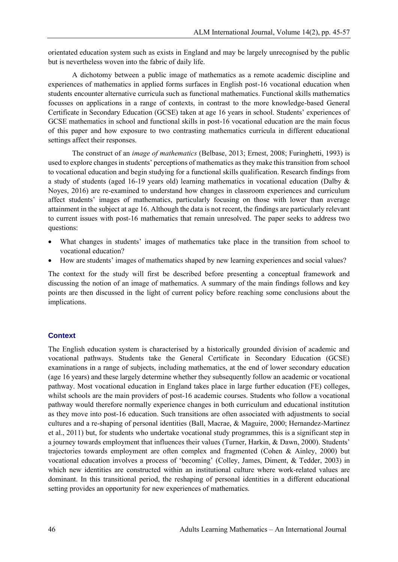orientated education system such as exists in England and may be largely unrecognised by the public but is nevertheless woven into the fabric of daily life.

A dichotomy between a public image of mathematics as a remote academic discipline and experiences of mathematics in applied forms surfaces in English post-16 vocational education when students encounter alternative curricula such as functional mathematics. Functional skills mathematics focusses on applications in a range of contexts, in contrast to the more knowledge-based General Certificate in Secondary Education (GCSE) taken at age 16 years in school. Students' experiences of GCSE mathematics in school and functional skills in post-16 vocational education are the main focus of this paper and how exposure to two contrasting mathematics curricula in different educational settings affect their responses.

The construct of an *image of mathematics* (Belbase, 2013; Ernest, 2008; Furinghetti, 1993) is used to explore changes in students' perceptions of mathematics as they make this transition from school to vocational education and begin studying for a functional skills qualification. Research findings from a study of students (aged 16-19 years old) learning mathematics in vocational education (Dalby & Noyes, 2016) are re-examined to understand how changes in classroom experiences and curriculum affect students' images of mathematics, particularly focusing on those with lower than average attainment in the subject at age 16. Although the data is not recent, the findings are particularly relevant to current issues with post-16 mathematics that remain unresolved. The paper seeks to address two questions:

- What changes in students' images of mathematics take place in the transition from school to vocational education?
- How are students' images of mathematics shaped by new learning experiences and social values?

The context for the study will first be described before presenting a conceptual framework and discussing the notion of an image of mathematics. A summary of the main findings follows and key points are then discussed in the light of current policy before reaching some conclusions about the implications.

#### **Context**

The English education system is characterised by a historically grounded division of academic and vocational pathways. Students take the General Certificate in Secondary Education (GCSE) examinations in a range of subjects, including mathematics, at the end of lower secondary education (age 16 years) and these largely determine whether they subsequently follow an academic or vocational pathway. Most vocational education in England takes place in large further education (FE) colleges, whilst schools are the main providers of post-16 academic courses. Students who follow a vocational pathway would therefore normally experience changes in both curriculum and educational institution as they move into post-16 education. Such transitions are often associated with adjustments to social cultures and a re-shaping of personal identities (Ball, Macrae, & Maguire, 2000; Hernandez-Martinez et al., 2011) but, for students who undertake vocational study programmes, this is a significant step in a journey towards employment that influences their values (Turner, Harkin, & Dawn, 2000). Students' trajectories towards employment are often complex and fragmented (Cohen & Ainley, 2000) but vocational education involves a process of 'becoming' (Colley, James, Diment, & Tedder, 2003) in which new identities are constructed within an institutional culture where work-related values are dominant. In this transitional period, the reshaping of personal identities in a different educational setting provides an opportunity for new experiences of mathematics.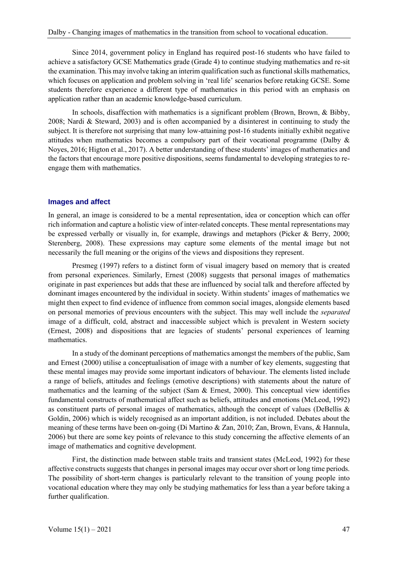Since 2014, government policy in England has required post-16 students who have failed to achieve a satisfactory GCSE Mathematics grade (Grade 4) to continue studying mathematics and re-sit the examination. This may involve taking an interim qualification such as functional skills mathematics, which focuses on application and problem solving in 'real life' scenarios before retaking GCSE. Some students therefore experience a different type of mathematics in this period with an emphasis on application rather than an academic knowledge-based curriculum.

In schools, disaffection with mathematics is a significant problem (Brown, Brown, & Bibby, 2008; Nardi & Steward, 2003) and is often accompanied by a disinterest in continuing to study the subject. It is therefore not surprising that many low-attaining post-16 students initially exhibit negative attitudes when mathematics becomes a compulsory part of their vocational programme (Dalby & Noyes, 2016; Higton et al., 2017). A better understanding of these students' images of mathematics and the factors that encourage more positive dispositions, seems fundamental to developing strategies to reengage them with mathematics.

## **Images and affect**

In general, an image is considered to be a mental representation, idea or conception which can offer rich information and capture a holistic view of inter-related concepts. These mental representations may be expressed verbally or visually in, for example, drawings and metaphors (Picker & Berry, 2000; Sterenberg, 2008). These expressions may capture some elements of the mental image but not necessarily the full meaning or the origins of the views and dispositions they represent.

Presmeg (1997) refers to a distinct form of visual imagery based on memory that is created from personal experiences. Similarly, Ernest (2008) suggests that personal images of mathematics originate in past experiences but adds that these are influenced by social talk and therefore affected by dominant images encountered by the individual in society. Within students' images of mathematics we might then expect to find evidence of influence from common social images, alongside elements based on personal memories of previous encounters with the subject. This may well include the *separated* image of a difficult, cold, abstract and inaccessible subject which is prevalent in Western society (Ernest, 2008) and dispositions that are legacies of students' personal experiences of learning mathematics.

In a study of the dominant perceptions of mathematics amongst the members of the public, Sam and Ernest (2000) utilise a conceptualisation of image with a number of key elements, suggesting that these mental images may provide some important indicators of behaviour. The elements listed include a range of beliefs, attitudes and feelings (emotive descriptions) with statements about the nature of mathematics and the learning of the subject (Sam & Ernest, 2000). This conceptual view identifies fundamental constructs of mathematical affect such as beliefs, attitudes and emotions (McLeod, 1992) as constituent parts of personal images of mathematics, although the concept of values (DeBellis & Goldin, 2006) which is widely recognised as an important addition, is not included. Debates about the meaning of these terms have been on-going (Di Martino & Zan, 2010; Zan, Brown, Evans, & Hannula, 2006) but there are some key points of relevance to this study concerning the affective elements of an image of mathematics and cognitive development.

First, the distinction made between stable traits and transient states (McLeod, 1992) for these affective constructs suggests that changes in personal images may occur over short or long time periods. The possibility of short-term changes is particularly relevant to the transition of young people into vocational education where they may only be studying mathematics for less than a year before taking a further qualification.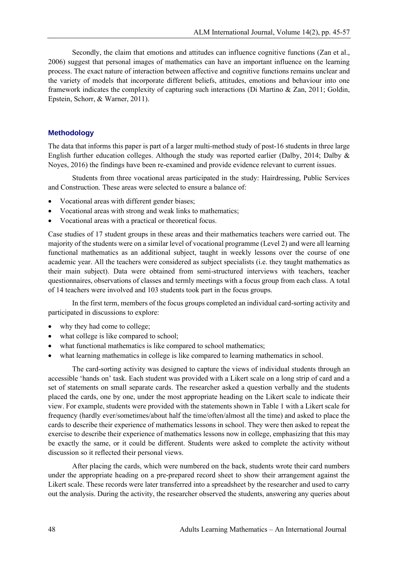Secondly, the claim that emotions and attitudes can influence cognitive functions (Zan et al., 2006) suggest that personal images of mathematics can have an important influence on the learning process. The exact nature of interaction between affective and cognitive functions remains unclear and the variety of models that incorporate different beliefs, attitudes, emotions and behaviour into one framework indicates the complexity of capturing such interactions (Di Martino & Zan, 2011; Goldin, Epstein, Schorr, & Warner, 2011).

#### **Methodology**

The data that informs this paper is part of a larger multi-method study of post-16 students in three large English further education colleges. Although the study was reported earlier (Dalby, 2014; Dalby & Noyes, 2016) the findings have been re-examined and provide evidence relevant to current issues.

Students from three vocational areas participated in the study: Hairdressing, Public Services and Construction. These areas were selected to ensure a balance of:

- Vocational areas with different gender biases;
- Vocational areas with strong and weak links to mathematics;
- Vocational areas with a practical or theoretical focus.

Case studies of 17 student groups in these areas and their mathematics teachers were carried out. The majority of the students were on a similar level of vocational programme (Level 2) and were all learning functional mathematics as an additional subject, taught in weekly lessons over the course of one academic year. All the teachers were considered as subject specialists (i.e. they taught mathematics as their main subject). Data were obtained from semi-structured interviews with teachers, teacher questionnaires, observations of classes and termly meetings with a focus group from each class. A total of 14 teachers were involved and 103 students took part in the focus groups.

In the first term, members of the focus groups completed an individual card-sorting activity and participated in discussions to explore:

- why they had come to college;
- what college is like compared to school;
- what functional mathematics is like compared to school mathematics;
- what learning mathematics in college is like compared to learning mathematics in school.

The card-sorting activity was designed to capture the views of individual students through an accessible 'hands on' task. Each student was provided with a Likert scale on a long strip of card and a set of statements on small separate cards. The researcher asked a question verbally and the students placed the cards, one by one, under the most appropriate heading on the Likert scale to indicate their view. For example, students were provided with the statements shown in Table 1 with a Likert scale for frequency (hardly ever/sometimes/about half the time/often/almost all the time) and asked to place the cards to describe their experience of mathematics lessons in school. They were then asked to repeat the exercise to describe their experience of mathematics lessons now in college, emphasizing that this may be exactly the same, or it could be different. Students were asked to complete the activity without discussion so it reflected their personal views.

After placing the cards, which were numbered on the back, students wrote their card numbers under the appropriate heading on a pre-prepared record sheet to show their arrangement against the Likert scale. These records were later transferred into a spreadsheet by the researcher and used to carry out the analysis. During the activity, the researcher observed the students, answering any queries about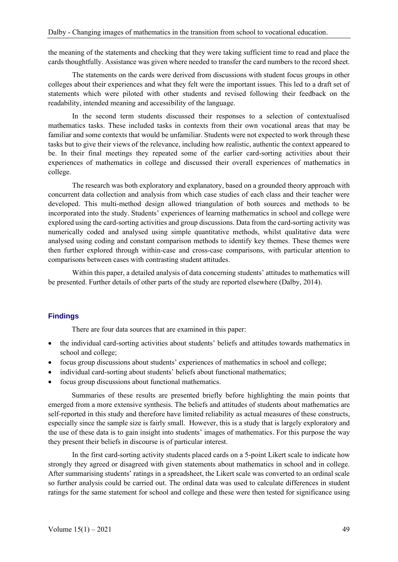the meaning of the statements and checking that they were taking sufficient time to read and place the cards thoughtfully. Assistance was given where needed to transfer the card numbers to the record sheet.

The statements on the cards were derived from discussions with student focus groups in other colleges about their experiences and what they felt were the important issues. This led to a draft set of statements which were piloted with other students and revised following their feedback on the readability, intended meaning and accessibility of the language.

In the second term students discussed their responses to a selection of contextualised mathematics tasks. These included tasks in contexts from their own vocational areas that may be familiar and some contexts that would be unfamiliar. Students were not expected to work through these tasks but to give their views of the relevance, including how realistic, authentic the context appeared to be. In their final meetings they repeated some of the earlier card-sorting activities about their experiences of mathematics in college and discussed their overall experiences of mathematics in college.

The research was both exploratory and explanatory, based on a grounded theory approach with concurrent data collection and analysis from which case studies of each class and their teacher were developed. This multi-method design allowed triangulation of both sources and methods to be incorporated into the study. Students' experiences of learning mathematics in school and college were explored using the card-sorting activities and group discussions. Data from the card-sorting activity was numerically coded and analysed using simple quantitative methods, whilst qualitative data were analysed using coding and constant comparison methods to identify key themes. These themes were then further explored through within-case and cross-case comparisons, with particular attention to comparisons between cases with contrasting student attitudes.

Within this paper, a detailed analysis of data concerning students' attitudes to mathematics will be presented. Further details of other parts of the study are reported elsewhere (Dalby, 2014).

## **Findings**

There are four data sources that are examined in this paper:

- the individual card-sorting activities about students' beliefs and attitudes towards mathematics in school and college;
- focus group discussions about students' experiences of mathematics in school and college;
- individual card-sorting about students' beliefs about functional mathematics:
- focus group discussions about functional mathematics.

Summaries of these results are presented briefly before highlighting the main points that emerged from a more extensive synthesis. The beliefs and attitudes of students about mathematics are self-reported in this study and therefore have limited reliability as actual measures of these constructs, especially since the sample size is fairly small. However, this is a study that is largely exploratory and the use of these data is to gain insight into students' images of mathematics. For this purpose the way they present their beliefs in discourse is of particular interest.

In the first card-sorting activity students placed cards on a 5-point Likert scale to indicate how strongly they agreed or disagreed with given statements about mathematics in school and in college. After summarising students' ratings in a spreadsheet, the Likert scale was converted to an ordinal scale so further analysis could be carried out. The ordinal data was used to calculate differences in student ratings for the same statement for school and college and these were then tested for significance using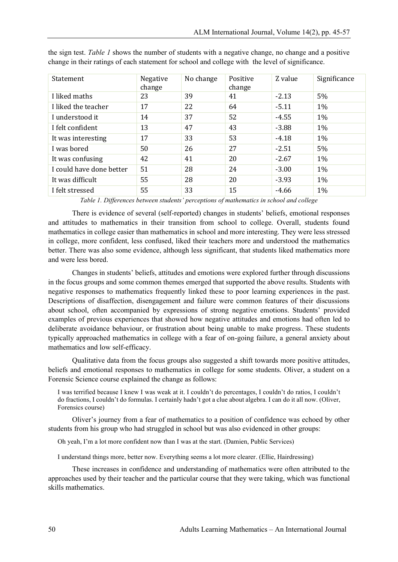| Statement                | Negative<br>change | No change | Positive<br>change | Z value | Significance |
|--------------------------|--------------------|-----------|--------------------|---------|--------------|
| I liked maths            | 23                 | 39        | 41                 | $-2.13$ | 5%           |
| I liked the teacher      | 17                 | 22        | 64                 | $-5.11$ | $1\%$        |
| I understood it          | 14                 | 37        | 52                 | $-4.55$ | $1\%$        |
| I felt confident         | 13                 | 47        | 43                 | $-3.88$ | $1\%$        |
| It was interesting       | 17                 | 33        | 53                 | $-4.18$ | $1\%$        |
| I was bored              | 50                 | 26        | 27                 | $-2.51$ | 5%           |
| It was confusing         | 42                 | 41        | 20                 | $-2.67$ | $1\%$        |
| I could have done better | 51                 | 28        | 24                 | $-3.00$ | $1\%$        |
| It was difficult         | 55                 | 28        | 20                 | $-3.93$ | $1\%$        |
| I felt stressed          | 55                 | 33        | 15                 | $-4.66$ | $1\%$        |

the sign test. *Table 1* shows the number of students with a negative change, no change and a positive change in their ratings of each statement for school and college with the level of significance.

*Table 1. Differences between students' perceptions of mathematics in school and college*

There is evidence of several (self-reported) changes in students' beliefs, emotional responses and attitudes to mathematics in their transition from school to college. Overall, students found mathematics in college easier than mathematics in school and more interesting. They were less stressed in college, more confident, less confused, liked their teachers more and understood the mathematics better. There was also some evidence, although less significant, that students liked mathematics more and were less bored.

Changes in students' beliefs, attitudes and emotions were explored further through discussions in the focus groups and some common themes emerged that supported the above results. Students with negative responses to mathematics frequently linked these to poor learning experiences in the past. Descriptions of disaffection, disengagement and failure were common features of their discussions about school, often accompanied by expressions of strong negative emotions. Students' provided examples of previous experiences that showed how negative attitudes and emotions had often led to deliberate avoidance behaviour, or frustration about being unable to make progress. These students typically approached mathematics in college with a fear of on-going failure, a general anxiety about mathematics and low self-efficacy.

Qualitative data from the focus groups also suggested a shift towards more positive attitudes, beliefs and emotional responses to mathematics in college for some students. Oliver, a student on a Forensic Science course explained the change as follows:

I was terrified because I knew I was weak at it. I couldn't do percentages, I couldn't do ratios, I couldn't do fractions, I couldn't do formulas. I certainly hadn't got a clue about algebra. I can do it all now. (Oliver, Forensics course)

Oliver's journey from a fear of mathematics to a position of confidence was echoed by other students from his group who had struggled in school but was also evidenced in other groups:

Oh yeah, I'm a lot more confident now than I was at the start. (Damien, Public Services)

I understand things more, better now. Everything seems a lot more clearer. (Ellie, Hairdressing)

These increases in confidence and understanding of mathematics were often attributed to the approaches used by their teacher and the particular course that they were taking, which was functional skills mathematics.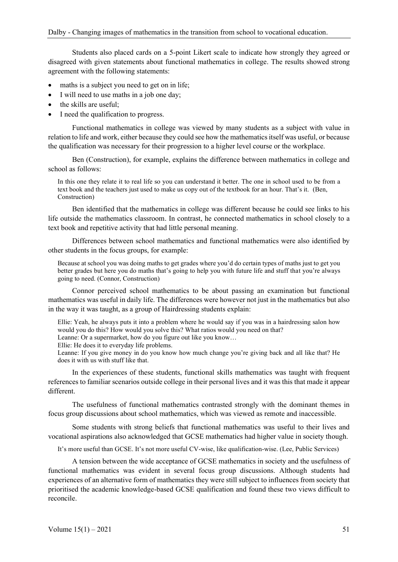Students also placed cards on a 5-point Likert scale to indicate how strongly they agreed or disagreed with given statements about functional mathematics in college. The results showed strong agreement with the following statements:

- maths is a subject you need to get on in life:
- I will need to use maths in a job one day;
- the skills are useful;
- I need the qualification to progress.

Functional mathematics in college was viewed by many students as a subject with value in relation to life and work, either because they could see how the mathematics itself was useful, or because the qualification was necessary for their progression to a higher level course or the workplace.

Ben (Construction), for example, explains the difference between mathematics in college and school as follows:

In this one they relate it to real life so you can understand it better. The one in school used to be from a text book and the teachers just used to make us copy out of the textbook for an hour. That's it. (Ben, Construction)

Ben identified that the mathematics in college was different because he could see links to his life outside the mathematics classroom. In contrast, he connected mathematics in school closely to a text book and repetitive activity that had little personal meaning.

Differences between school mathematics and functional mathematics were also identified by other students in the focus groups, for example:

Because at school you was doing maths to get grades where you'd do certain types of maths just to get you better grades but here you do maths that's going to help you with future life and stuff that you're always going to need. (Connor, Construction)

Connor perceived school mathematics to be about passing an examination but functional mathematics was useful in daily life. The differences were however not just in the mathematics but also in the way it was taught, as a group of Hairdressing students explain:

Ellie: Yeah, he always puts it into a problem where he would say if you was in a hairdressing salon how would you do this? How would you solve this? What ratios would you need on that?

Leanne: Or a supermarket, how do you figure out like you know…

Ellie: He does it to everyday life problems.

Leanne: If you give money in do you know how much change you're giving back and all like that? He does it with us with stuff like that.

In the experiences of these students, functional skills mathematics was taught with frequent references to familiar scenarios outside college in their personal lives and it was this that made it appear different.

The usefulness of functional mathematics contrasted strongly with the dominant themes in focus group discussions about school mathematics, which was viewed as remote and inaccessible.

Some students with strong beliefs that functional mathematics was useful to their lives and vocational aspirations also acknowledged that GCSE mathematics had higher value in society though.

It's more useful than GCSE. It's not more useful CV-wise, like qualification-wise. (Lee, Public Services)

A tension between the wide acceptance of GCSE mathematics in society and the usefulness of functional mathematics was evident in several focus group discussions. Although students had experiences of an alternative form of mathematics they were still subject to influences from society that prioritised the academic knowledge-based GCSE qualification and found these two views difficult to reconcile.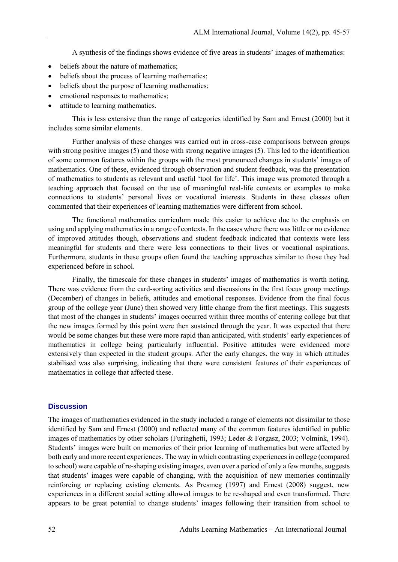A synthesis of the findings shows evidence of five areas in students' images of mathematics:

- beliefs about the nature of mathematics:
- beliefs about the process of learning mathematics;
- beliefs about the purpose of learning mathematics;
- emotional responses to mathematics;
- attitude to learning mathematics.

This is less extensive than the range of categories identified by Sam and Ernest (2000) but it includes some similar elements.

Further analysis of these changes was carried out in cross-case comparisons between groups with strong positive images (5) and those with strong negative images (5). This led to the identification of some common features within the groups with the most pronounced changes in students' images of mathematics. One of these, evidenced through observation and student feedback, was the presentation of mathematics to students as relevant and useful 'tool for life'. This image was promoted through a teaching approach that focused on the use of meaningful real-life contexts or examples to make connections to students' personal lives or vocational interests. Students in these classes often commented that their experiences of learning mathematics were different from school.

The functional mathematics curriculum made this easier to achieve due to the emphasis on using and applying mathematics in a range of contexts. In the cases where there was little or no evidence of improved attitudes though, observations and student feedback indicated that contexts were less meaningful for students and there were less connections to their lives or vocational aspirations. Furthermore, students in these groups often found the teaching approaches similar to those they had experienced before in school.

Finally, the timescale for these changes in students' images of mathematics is worth noting. There was evidence from the card-sorting activities and discussions in the first focus group meetings (December) of changes in beliefs, attitudes and emotional responses. Evidence from the final focus group of the college year (June) then showed very little change from the first meetings. This suggests that most of the changes in students' images occurred within three months of entering college but that the new images formed by this point were then sustained through the year. It was expected that there would be some changes but these were more rapid than anticipated, with students' early experiences of mathematics in college being particularly influential. Positive attitudes were evidenced more extensively than expected in the student groups. After the early changes, the way in which attitudes stabilised was also surprising, indicating that there were consistent features of their experiences of mathematics in college that affected these.

### **Discussion**

The images of mathematics evidenced in the study included a range of elements not dissimilar to those identified by Sam and Ernest (2000) and reflected many of the common features identified in public images of mathematics by other scholars (Furinghetti, 1993; Leder & Forgasz, 2003; Volmink, 1994). Students' images were built on memories of their prior learning of mathematics but were affected by both early and more recent experiences. The way in which contrasting experiences in college (compared to school) were capable of re-shaping existing images, even over a period of only a few months, suggests that students' images were capable of changing, with the acquisition of new memories continually reinforcing or replacing existing elements. As Presmeg (1997) and Ernest (2008) suggest, new experiences in a different social setting allowed images to be re-shaped and even transformed. There appears to be great potential to change students' images following their transition from school to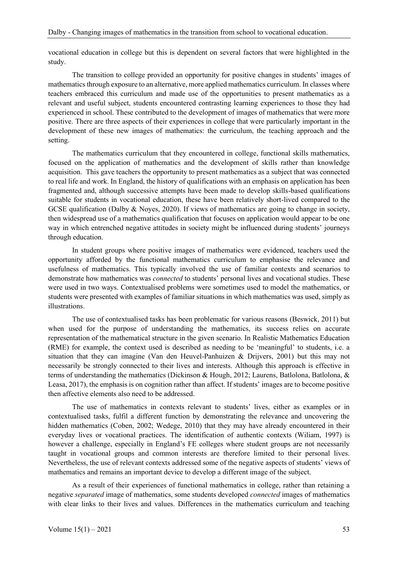vocational education in college but this is dependent on several factors that were highlighted in the study.

The transition to college provided an opportunity for positive changes in students' images of mathematics through exposure to an alternative, more applied mathematics curriculum. In classes where teachers embraced this curriculum and made use of the opportunities to present mathematics as a relevant and useful subject, students encountered contrasting learning experiences to those they had experienced in school. These contributed to the development of images of mathematics that were more positive. There are three aspects of their experiences in college that were particularly important in the development of these new images of mathematics: the curriculum, the teaching approach and the setting.

The mathematics curriculum that they encountered in college, functional skills mathematics, focused on the application of mathematics and the development of skills rather than knowledge acquisition. This gave teachers the opportunity to present mathematics as a subject that was connected to real life and work. In England, the history of qualifications with an emphasis on application has been fragmented and, although successive attempts have been made to develop skills-based qualifications suitable for students in vocational education, these have been relatively short-lived compared to the GCSE qualification (Dalby & Noves, 2020). If views of mathematics are going to change in society, then widespread use of a mathematics qualification that focuses on application would appear to be one way in which entrenched negative attitudes in society might be influenced during students' journeys through education.

In student groups where positive images of mathematics were evidenced, teachers used the opportunity afforded by the functional mathematics curriculum to emphasise the relevance and usefulness of mathematics. This typically involved the use of familiar contexts and scenarios to demonstrate how mathematics was *connected* to students' personal lives and vocational studies. These were used in two ways. Contextualised problems were sometimes used to model the mathematics, or students were presented with examples of familiar situations in which mathematics was used, simply as illustrations.

The use of contextualised tasks has been problematic for various reasons (Beswick, 2011) but when used for the purpose of understanding the mathematics, its success relies on accurate representation of the mathematical structure in the given scenario. In Realistic Mathematics Education (RME) for example, the context used is described as needing to be 'meaningful' to students, i.e. a situation that they can imagine (Van den Heuvel-Panhuizen & Drijvers, 2001) but this may not necessarily be strongly connected to their lives and interests. Although this approach is effective in terms of understanding the mathematics (Dickinson & Hough, 2012; Laurens, Batlolona, Batlolona, & Leasa, 2017), the emphasis is on cognition rather than affect. If students' images are to become positive then affective elements also need to be addressed.

The use of mathematics in contexts relevant to students' lives, either as examples or in contextualised tasks, fulfil a different function by demonstrating the relevance and uncovering the hidden mathematics (Coben, 2002; Wedege, 2010) that they may have already encountered in their everyday lives or vocational practices. The identification of authentic contexts (Wiliam, 1997) is however a challenge, especially in England's FE colleges where student groups are not necessarily taught in vocational groups and common interests are therefore limited to their personal lives. Nevertheless, the use of relevant contexts addressed some of the negative aspects of students' views of mathematics and remains an important device to develop a different image of the subject.

As a result of their experiences of functional mathematics in college, rather than retaining a negative *separated* image of mathematics, some students developed *connected* images of mathematics with clear links to their lives and values. Differences in the mathematics curriculum and teaching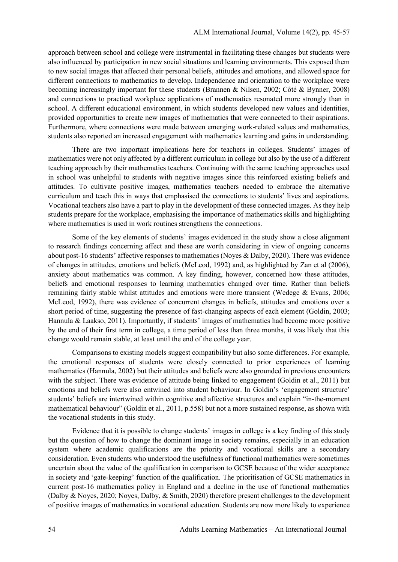approach between school and college were instrumental in facilitating these changes but students were also influenced by participation in new social situations and learning environments. This exposed them to new social images that affected their personal beliefs, attitudes and emotions, and allowed space for different connections to mathematics to develop. Independence and orientation to the workplace were becoming increasingly important for these students (Brannen & Nilsen, 2002; Côté & Bynner, 2008) and connections to practical workplace applications of mathematics resonated more strongly than in school. A different educational environment, in which students developed new values and identities, provided opportunities to create new images of mathematics that were connected to their aspirations. Furthermore, where connections were made between emerging work-related values and mathematics, students also reported an increased engagement with mathematics learning and gains in understanding.

There are two important implications here for teachers in colleges. Students' images of mathematics were not only affected by a different curriculum in college but also by the use of a different teaching approach by their mathematics teachers. Continuing with the same teaching approaches used in school was unhelpful to students with negative images since this reinforced existing beliefs and attitudes. To cultivate positive images, mathematics teachers needed to embrace the alternative curriculum and teach this in ways that emphasised the connections to students' lives and aspirations. Vocational teachers also have a part to play in the development of these connected images. As they help students prepare for the workplace, emphasising the importance of mathematics skills and highlighting where mathematics is used in work routines strengthens the connections.

Some of the key elements of students' images evidenced in the study show a close alignment to research findings concerning affect and these are worth considering in view of ongoing concerns about post-16 students' affective responses to mathematics (Noyes & Dalby, 2020). There was evidence of changes in attitudes, emotions and beliefs (McLeod, 1992) and, as highlighted by Zan et al (2006), anxiety about mathematics was common. A key finding, however, concerned how these attitudes, beliefs and emotional responses to learning mathematics changed over time. Rather than beliefs remaining fairly stable whilst attitudes and emotions were more transient (Wedege & Evans, 2006; McLeod, 1992), there was evidence of concurrent changes in beliefs, attitudes and emotions over a short period of time, suggesting the presence of fast-changing aspects of each element (Goldin, 2003; Hannula & Laakso, 2011). Importantly, if students' images of mathematics had become more positive by the end of their first term in college, a time period of less than three months, it was likely that this change would remain stable, at least until the end of the college year.

Comparisons to existing models suggest compatibility but also some differences. For example, the emotional responses of students were closely connected to prior experiences of learning mathematics (Hannula, 2002) but their attitudes and beliefs were also grounded in previous encounters with the subject. There was evidence of attitude being linked to engagement (Goldin et al., 2011) but emotions and beliefs were also entwined into student behaviour. In Goldin's 'engagement structure' students' beliefs are intertwined within cognitive and affective structures and explain "in-the-moment mathematical behaviour" (Goldin et al., 2011, p.558) but not a more sustained response, as shown with the vocational students in this study.

Evidence that it is possible to change students' images in college is a key finding of this study but the question of how to change the dominant image in society remains, especially in an education system where academic qualifications are the priority and vocational skills are a secondary consideration. Even students who understood the usefulness of functional mathematics were sometimes uncertain about the value of the qualification in comparison to GCSE because of the wider acceptance in society and 'gate-keeping' function of the qualification. The prioritisation of GCSE mathematics in current post-16 mathematics policy in England and a decline in the use of functional mathematics (Dalby & Noyes, 2020; Noyes, Dalby, & Smith, 2020) therefore present challenges to the development of positive images of mathematics in vocational education. Students are now more likely to experience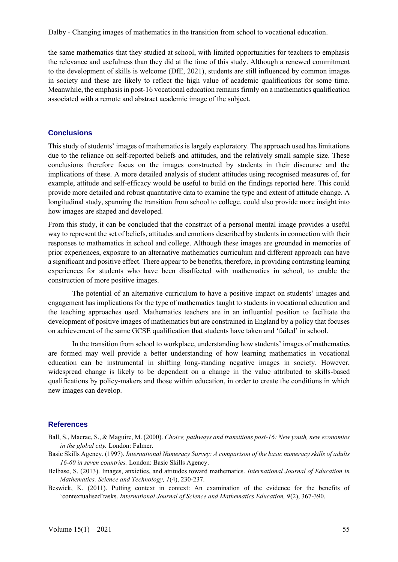the same mathematics that they studied at school, with limited opportunities for teachers to emphasis the relevance and usefulness than they did at the time of this study. Although a renewed commitment to the development of skills is welcome (DfE, 2021), students are still influenced by common images in society and these are likely to reflect the high value of academic qualifications for some time. Meanwhile, the emphasis in post-16 vocational education remainsfirmly on a mathematics qualification associated with a remote and abstract academic image of the subject.

## **Conclusions**

This study of students' images of mathematics is largely exploratory. The approach used has limitations due to the reliance on self-reported beliefs and attitudes, and the relatively small sample size. These conclusions therefore focus on the images constructed by students in their discourse and the implications of these. A more detailed analysis of student attitudes using recognised measures of, for example, attitude and self-efficacy would be useful to build on the findings reported here. This could provide more detailed and robust quantitative data to examine the type and extent of attitude change. A longitudinal study, spanning the transition from school to college, could also provide more insight into how images are shaped and developed.

From this study, it can be concluded that the construct of a personal mental image provides a useful way to represent the set of beliefs, attitudes and emotions described by students in connection with their responses to mathematics in school and college. Although these images are grounded in memories of prior experiences, exposure to an alternative mathematics curriculum and different approach can have a significant and positive effect. There appear to be benefits, therefore, in providing contrasting learning experiences for students who have been disaffected with mathematics in school, to enable the construction of more positive images.

The potential of an alternative curriculum to have a positive impact on students' images and engagement has implications for the type of mathematics taught to students in vocational education and the teaching approaches used. Mathematics teachers are in an influential position to facilitate the development of positive images of mathematics but are constrained in England by a policy that focuses on achievement of the same GCSE qualification that students have taken and 'failed' in school.

In the transition from school to workplace, understanding how students' images of mathematics are formed may well provide a better understanding of how learning mathematics in vocational education can be instrumental in shifting long-standing negative images in society. However, widespread change is likely to be dependent on a change in the value attributed to skills-based qualifications by policy-makers and those within education, in order to create the conditions in which new images can develop.

## **References**

- Ball, S., Macrae, S., & Maguire, M. (2000). *Choice, pathways and transitions post-16: New youth, new economies in the global city.* London: Falmer.
- Basic Skills Agency. (1997). *International Numeracy Survey: A comparison of the basic numeracy skills of adults 16-60 in seven countries.* London: Basic Skills Agency.
- Belbase, S. (2013). Images, anxieties, and attitudes toward mathematics. *International Journal of Education in Mathematics, Science and Technology, 1*(4), 230-237.
- Beswick, K. (2011). Putting context in context: An examination of the evidence for the benefits of 'contextualised'tasks. *International Journal of Science and Mathematics Education, 9*(2), 367-390.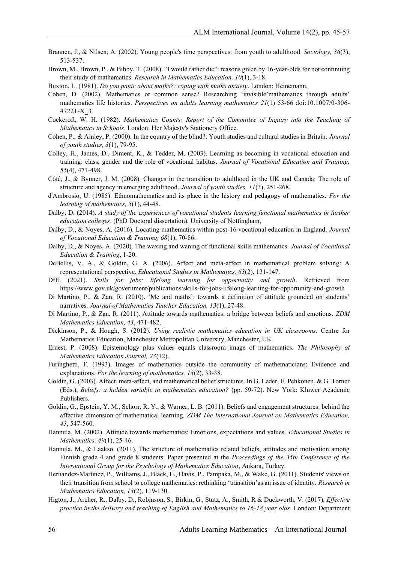- Brannen, J., & Nilsen, A. (2002). Young people's time perspectives: from youth to adulthood. *Sociology, 36*(3), 513-537.
- Brown, M., Brown, P., & Bibby, T. (2008). "I would rather die": reasons given by 16-year-olds for not continuing their study of mathematics. *Research in Mathematics Education, 10*(1), 3-18.
- Buxton, L. (1981). *Do you panic about maths?: coping with maths anxiety*. London: Heinemann.
- Coben, D. (2002). Mathematics or common sense? Researching 'invisible'mathematics through adults' mathematics life histories. *Perspectives on adults learning mathematics 21*(1) 53-66 doi:10.1007/0-306- 47221-X\_3
- Cockcroft, W. H. (1982). *Mathematics Counts: Report of the Committee of Inquiry into the Teaching of Mathematics in Schools*. London: Her Majesty's Stationery Office.
- Cohen, P., & Ainley, P. (2000). In the country of the blind?: Youth studies and cultural studies in Britain. *Journal of youth studies, 3*(1), 79-95.
- Colley, H., James, D., Diment, K., & Tedder, M. (2003). Learning as becoming in vocational education and training: class, gender and the role of vocational habitus. *Journal of Vocational Education and Training, 55*(4), 471-498.
- Côté, J., & Bynner, J. M. (2008). Changes in the transition to adulthood in the UK and Canada: The role of structure and agency in emerging adulthood. *Journal of youth studies, 11*(3), 251-268.
- d'Ambrosio, U. (1985). Ethnomathematics and its place in the history and pedagogy of mathematics. *For the learning of mathematics, 5*(1), 44-48.
- Dalby, D. (2014). *A study of the experiences of vocational students learning functional mathematics in further education colleges*. (PhD Doctoral dissertation), University of Nottingham,
- Dalby, D., & Noyes, A. (2016). Locating mathematics within post-16 vocational education in England. *Journal of Vocational Education & Training, 68*(1), 70-86.
- Dalby, D., & Noyes, A. (2020). The waxing and waning of functional skills mathematics. *Journal of Vocational Education & Training*, 1-20.
- DeBellis, V. A., & Goldin, G. A. (2006). Affect and meta-affect in mathematical problem solving: A representational perspective. *Educational Studies in Mathematics, 63*(2), 131-147.
- DfE. (2021). *Skills for jobs: lifelong learning for opportunity and growth*. Retrieved from https://www.gov.uk/government/publications/skills-for-jobs-lifelong-learning-for-opportunity-and-growth
- Di Martino, P., & Zan, R. (2010). 'Me and maths': towards a definition of attitude grounded on students' narratives. *Journal of Mathematics Teacher Education, 13*(1), 27-48.
- Di Martino, P., & Zan, R. (2011). Attitude towards mathematics: a bridge between beliefs and emotions. *ZDM Mathematics Education, 43*, 471-482.
- Dickinson, P., & Hough, S. (2012). *Using realistic mathematics education in UK classrooms.* Centre for Mathematics Education, Manchester Metropolitan University, Manchester, UK.
- Ernest, P. (2008). Epistemology plus values equals classroom image of mathematics. *The Philosophy of Mathematics Education Journal, 23*(12).
- Furinghetti, F. (1993). Images of mathematics outside the community of mathematicians: Evidence and explanations. *For the learning of mathematics, 13*(2), 33-38.
- Goldin, G. (2003). Affect, meta-affect, and mathematical belief structures. In G. Leder, E. Pehkonen, & G. Torner (Eds.), *Beliefs: a hidden variable in mathematics education?* (pp. 59-72). New York: Kluwer Academic Publishers.
- Goldin, G., Epstein, Y. M., Schorr, R. Y., & Warner, L. B. (2011). Beliefs and engagement structures: behind the affective dimension of mathematical learning. *ZDM The International Journal on Mathematics Education, 43*, 547-560.
- Hannula, M. (2002). Attitude towards mathematics: Emotions, expectations and values. *Educational Studies in Mathematics, 49*(1), 25-46.
- Hannula, M., & Laakso. (2011). The structure of mathematics related beliefs, attitudes and motivation among Finnish grade 4 and grade 8 students. Paper presented at the *Proceedings of the 35th Conference of the International Group for the Psychology of Mathematics Education*, Ankara, Turkey.
- Hernandez-Martinez, P., Williams, J., Black, L., Davis, P., Pampaka, M., & Wake, G. (2011). Students' views on their transition from school to college mathematics: rethinking 'transition'as an issue of identity. *Research in Mathematics Education, 13*(2), 119-130.
- Higton, J., Archer, R., Dalby, D., Robinson, S., Birkin, G., Stutz, A., Smith, R & Duckworth, V. (2017). *Effective practice in the delivery and teaching of English and Mathematics to 16-18 year olds*. London: Department